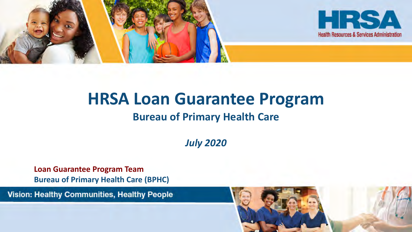

# **HRSA Loan Guarantee Program**

#### **Bureau of Primary Health Care**

*July 2020*

**Loan Guarantee Program Team Bureau of Primary Health Care (BPHC)**

Vision: Healthy Communities, Healthy People

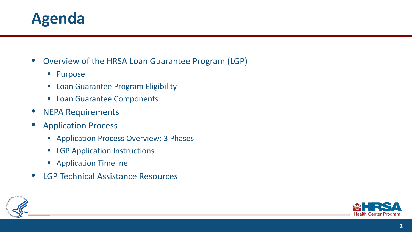#### **Agenda**

• Overview of the HRSA Loan Guarantee Program (LGP)

- **Purpose**
- **E.** Loan Guarantee Program Eligibility
- **Loan Guarantee Components**
- NEPA Requirements
- Application Process
	- **Application Process Overview: 3 Phases**
	- **EXECP Application Instructions**
	- **Application Timeline**
- LGP Technical Assistance Resources



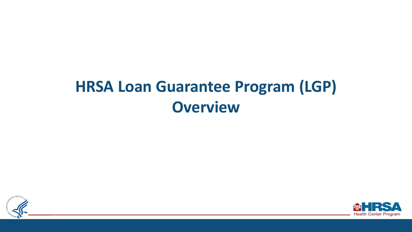### **HRSA Loan Guarantee Program (LGP) Overview**



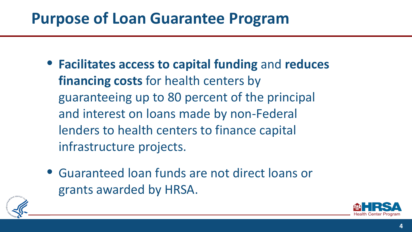#### **Purpose of Loan Guarantee Program**

- **Facilitates access to capital funding** and **reduces financing costs** for health centers by guaranteeing up to 80 percent of the principal and interest on loans made by non-Federal lenders to health centers to finance capital infrastructure projects.
- Guaranteed loan funds are not direct loans or grants awarded by HRSA.



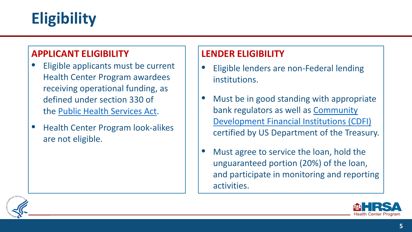### **Eligibility**

#### **APPLICANT ELIGIBILITY**

- Eligible applicants must be current Health Center Program awardees receiving operational funding, as defined under section 330 of the [Public Health Services Act](http://uscode.house.gov/view.xhtml?req=granuleid:USC-prelim-title42-section254b&num=0&edition=prelim).
- Health Center Program look-alikes are not eligible.

#### **LENDER ELIGIBILITY**

- Eligible lenders are non-Federal lending institutions.
- Must be in good standing with appropriate bank regulators as well as Community [Development Financial Institutions \(CDFI\)](https://www.cdfifund.gov/) certified by US Department of the Treasury.
- Must agree to service the loan, hold the unguaranteed portion (20%) of the loan, and participate in monitoring and reporting activities.



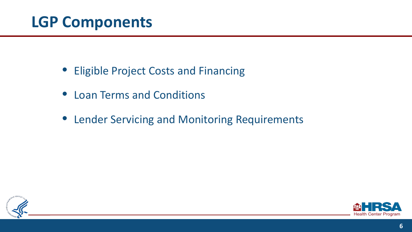#### **LGP Components**

- Eligible Project Costs and Financing
- Loan Terms and Conditions
- Lender Servicing and Monitoring Requirements



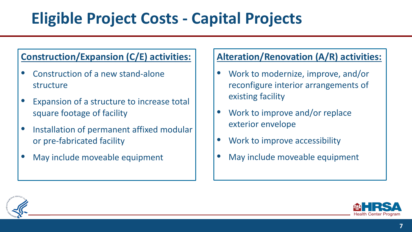### **Eligible Project Costs - Capital Projects**

#### **Construction/Expansion (C/E) activities:**

- Construction of a new stand-alone structure
- Expansion of a structure to increase total square footage of facility
- Installation of permanent affixed modular or pre-fabricated facility
- May include moveable equipment

#### **Alteration/Renovation (A/R) activities:**

- Work to modernize, improve, and/or reconfigure interior arrangements of existing facility
- Work to improve and/or replace exterior envelope
- Work to improve accessibility
- May include moveable equipment



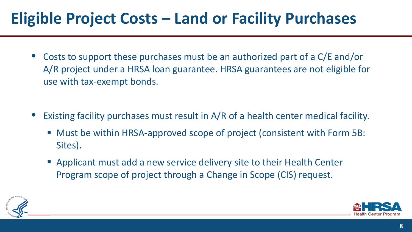### **Eligible Project Costs – Land or Facility Purchases**

- Costs to support these purchases must be an authorized part of a C/E and/or A/R project under a HRSA loan guarantee. HRSA guarantees are not eligible for use with tax-exempt bonds.
- Existing facility purchases must result in A/R of a health center medical facility.
	- Must be within HRSA-approved scope of project (consistent with Form 5B: Sites).
	- Applicant must add a new service delivery site to their Health Center Program scope of project through a Change in Scope (CIS) request.



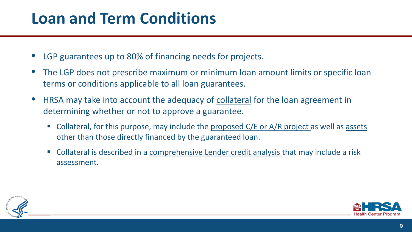#### **Loan and Term Conditions**

- LGP guarantees up to 80% of financing needs for projects.
- The LGP does not prescribe maximum or minimum loan amount limits or specific loan terms or conditions applicable to all loan guarantees.
- HRSA may take into account the adequacy of collateral for the loan agreement in determining whether or not to approve a guarantee.
	- Collateral, for this purpose, may include the proposed C/E or A/R project as well as assets other than those directly financed by the guaranteed loan.
	- **Collateral is described in a comprehensive Lender credit analysis that may include a risk** assessment.



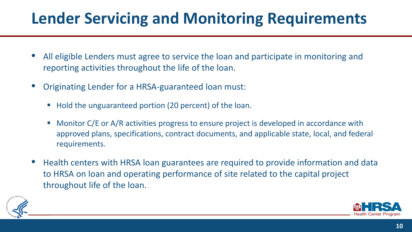### **Lender Servicing and Monitoring Requirements**

- All eligible Lenders must agree to service the loan and participate in monitoring and reporting activities throughout the life of the loan.
- Originating Lender for a HRSA-guaranteed loan must:
	- Hold the unguaranteed portion (20 percent) of the loan.
	- Monitor C/E or A/R activities progress to ensure project is developed in accordance with approved plans, specifications, contract documents, and applicable state, local, and federal requirements.
- Health centers with HRSA loan guarantees are required to provide information and data to HRSA on loan and operating performance of site related to the capital project throughout life of the loan.



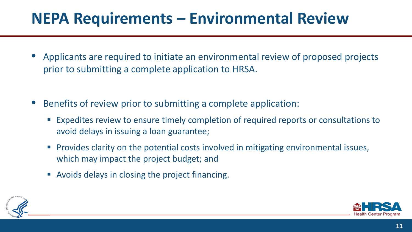### **NEPA Requirements – Environmental Review**

- Applicants are required to initiate an environmental review of proposed projects prior to submitting a complete application to HRSA.
- Benefits of review prior to submitting a complete application:
	- Expedites review to ensure timely completion of required reports or consultations to avoid delays in issuing a loan guarantee;
	- **Provides clarity on the potential costs involved in mitigating environmental issues,** which may impact the project budget; and
	- Avoids delays in closing the project financing.



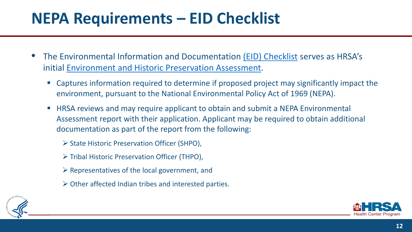#### **NEPA Requirements – EID Checklist**

- The Environmental Information and Documentation [\(EID\) Checklist](https://bphc.hrsa.gov/sites/default/files/bphc/programopportunities/pdf/environmental-info-doc-2019.pdf) serves as HRSA's initial [Environment and Historic Preservation Assessment](https://bphc.hrsa.gov/program-opportunities/capital-development/environmental-preservation-ta).
	- Captures information required to determine if proposed project may significantly impact the environment, pursuant to the National Environmental Policy Act of 1969 (NEPA).
	- **HRSA reviews and may require applicant to obtain and submit a NEPA Environmental** Assessment report with their application. Applicant may be required to obtain additional documentation as part of the report from the following:
		- ▶ State Historic Preservation Officer (SHPO),
		- ▶ Tribal Historic Preservation Officer (THPO),
		- $\triangleright$  Representatives of the local government, and
		- $\triangleright$  Other affected Indian tribes and interested parties.



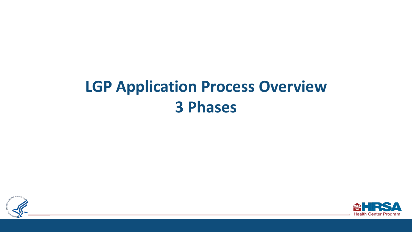### **LGP Application Process Overview 3 Phases**



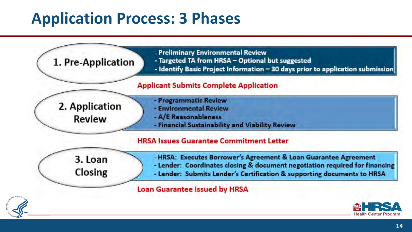#### **Application Process: 3 Phases**

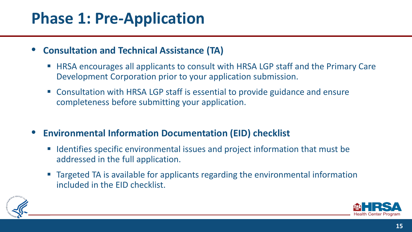#### **Phase 1: Pre-Application**

#### • **Consultation and Technical Assistance (TA)**

- HRSA encourages all applicants to consult with HRSA LGP staff and the Primary Care Development Corporation prior to your application submission.
- Consultation with HRSA LGP staff is essential to provide guidance and ensure completeness before submitting your application.
- **Environmental Information Documentation (EID) checklist**
	- Identifies specific environmental issues and project information that must be addressed in the full application.
	- Targeted TA is available for applicants regarding the environmental information included in the EID checklist.



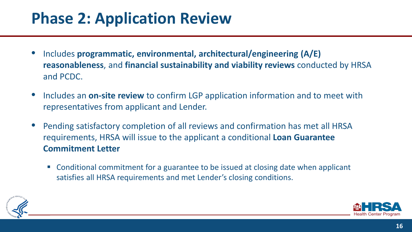### **Phase 2: Application Review**

- Includes **programmatic, environmental, architectural/engineering (A/E) reasonableness**, and **financial sustainability and viability reviews** conducted by HRSA and PCDC.
- Includes an **on-site review** to confirm LGP application information and to meet with representatives from applicant and Lender.
- Pending satisfactory completion of all reviews and confirmation has met all HRSA requirements, HRSA will issue to the applicant a conditional **Loan Guarantee Commitment Letter**
	- Conditional commitment for a guarantee to be issued at closing date when applicant satisfies all HRSA requirements and met Lender's closing conditions.



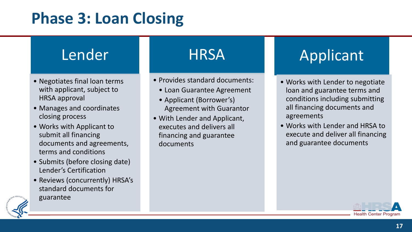#### **Phase 3: Loan Closing**

#### Lender

- Negotiates final loan terms with applicant, subject to HRSA approval
- Manages and coordinates closing process
- Works with Applicant to submit all financing documents and agreements, terms and conditions
- Submits (before closing date) Lender's Certification
- Reviews (concurrently) HRSA's standard documents for
- guarantee

#### **HRSA**

- Provides standard documents:
	- Loan Guarantee Agreement
	- Applicant (Borrower's) Agreement with Guarantor
- With Lender and Applicant, executes and delivers all financing and guarantee documents

### Applicant

- Works with Lender to negotiate loan and guarantee terms and conditions including submitting all financing documents and agreements
- Works with Lender and HRSA to execute and deliver all financing and guarantee documents



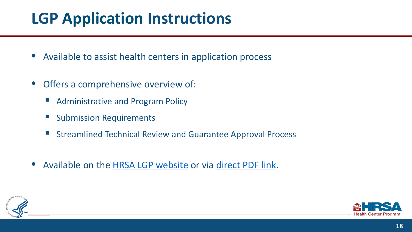### **LGP Application Instructions**

- Available to assist health centers in application process
- Offers a comprehensive overview of:
	- Administrative and Program Policy
	- **Submission Requirements**
	- Streamlined Technical Review and Guarantee Approval Process
- Available on the [HRSA LGP website](https://bphc.hrsa.gov/programopportunities/loan-guarantee-program) or via [direct PDF link.](https://bphc.hrsa.gov/sites/default/files/bphc/programopportunities/fundingopportunities/hcf-lgp/hcf-lgp-instructions.pdf)



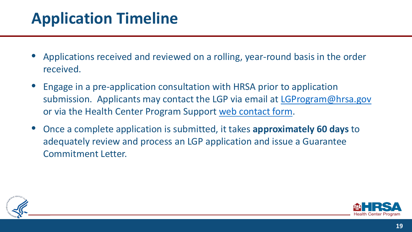### **Application Timeline**

- Applications received and reviewed on a rolling, year-round basis in the order received.
- Engage in a pre-application consultation with HRSA prior to application submission. Applicants may contact the LGP via email at [LGProgram@hrsa.gov](mailto:LGProgram@hrsa.gov) or via the Health Center Program Support [web contact form.](https://bphccommunications.secure.force.com/ContactBPHC/BPHC_Contact_Form)
- Once a complete application is submitted, it takes **approximately 60 days** to adequately review and process an LGP application and issue a Guarantee Commitment Letter.



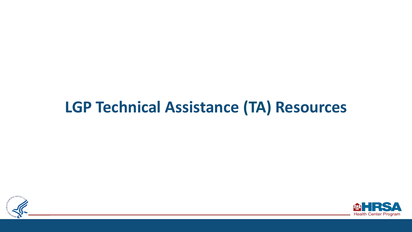#### **LGP Technical Assistance (TA) Resources**



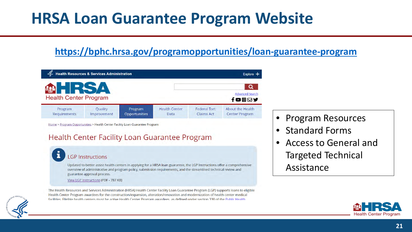#### **HRSA Loan Guarantee Program Website**

#### **<https://bphc.hrsa.gov/programopportunities/loan-guarantee-program>**

| <b>Health Resources &amp; Services Administration</b><br>Explore + |                        |                          |                              |                                          |                                                   |
|--------------------------------------------------------------------|------------------------|--------------------------|------------------------------|------------------------------------------|---------------------------------------------------|
| <b>Health Center Program</b>                                       | <b>TRSA</b>            |                          |                              |                                          | Q<br><b>Advanced Search</b><br>$f$ co $\boxdot$ y |
| Program<br>Requirements                                            | Quality<br>Improvement | Program<br>Opportunities | <b>Health Center</b><br>Data | <b>Federal Tort</b><br><b>Claims Act</b> | About the Health<br><b>Center Program</b>         |

Home > Program Opportunities > Health Center Facility Loan Guarantee Program

#### Health Center Facility Loan Guarantee Program

#### **LGP Instructions**

Updated to better assist health centers in applying for a HRSA loan guarantee, the LGP Instructions offer a comprehensive overview of administrative and program policy, submission requirements, and the streamlined technical review and guarantee approval process.

View LGP Instructions (PDF - 787 KB)

The Health Resources and Services Administration (HRSA) Health Center Facility Loan Guarantee Program (LGP) supports loans to eligible Health Center Program awardees for the construction/expansion, alteration/renovation and modernization of health center medical facilities. Fligible health centers must be active Health Center Program awardees as defined under section 330 of the Public Health

- Program Resources
- Standard Forms
- Access to General and Targeted Technical Assistance



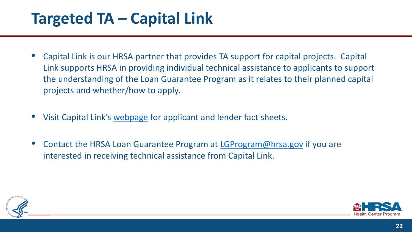#### **Targeted TA – Capital Link**

- Capital Link is our HRSA partner that provides TA support for capital projects. Capital Link supports HRSA in providing individual technical assistance to applicants to support the understanding of the Loan Guarantee Program as it relates to their planned capital projects and whether/how to apply.
- Visit Capital Link's [webpage](https://www.caplink.org/advisory-services/financing-assistance/hrsa-loan-guarantee-program) for applicant and lender fact sheets.
- Contact the HRSA Loan Guarantee Program at [LGProgram@hrsa.gov](mailto:LGProgram@hrsa.gov) if you are interested in receiving technical assistance from Capital Link.



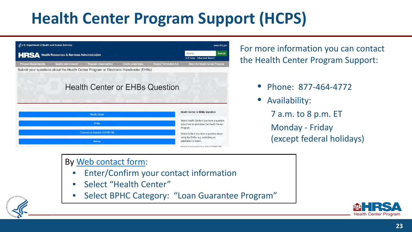### **Health Center Program Support (HCPS)**



For more information you can contact the Health Center Program Support:

- Phone: 877-464-4772
- Availability:
	- 7 a.m. to 8 p.m. ET
	- Monday Friday (except federal holidays)

#### By [Web contact form:](https://bphccommunications.secure.force.com/ContactBPHC/BPHC_Contact_Form)

- Enter/Confirm your contact information
- Select "Health Center"
- Select BPHC Category: "Loan Guarantee Program"



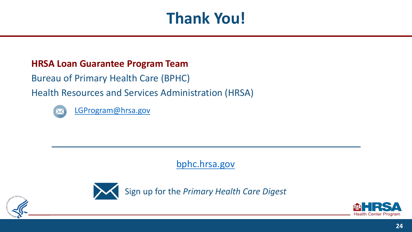### **Thank You!**

#### **HRSA Loan Guarantee Program Team**

Bureau of Primary Health Care (BPHC)

Health Resources and Services Administration (HRSA)



[LGProgram@hrsa.gov](mailto:LGProgram@hrsa.gov)

[bphc.hrsa.gov](https://bphc.hrsa.gov/)



Sign up for the *Primary Health Care Digest*